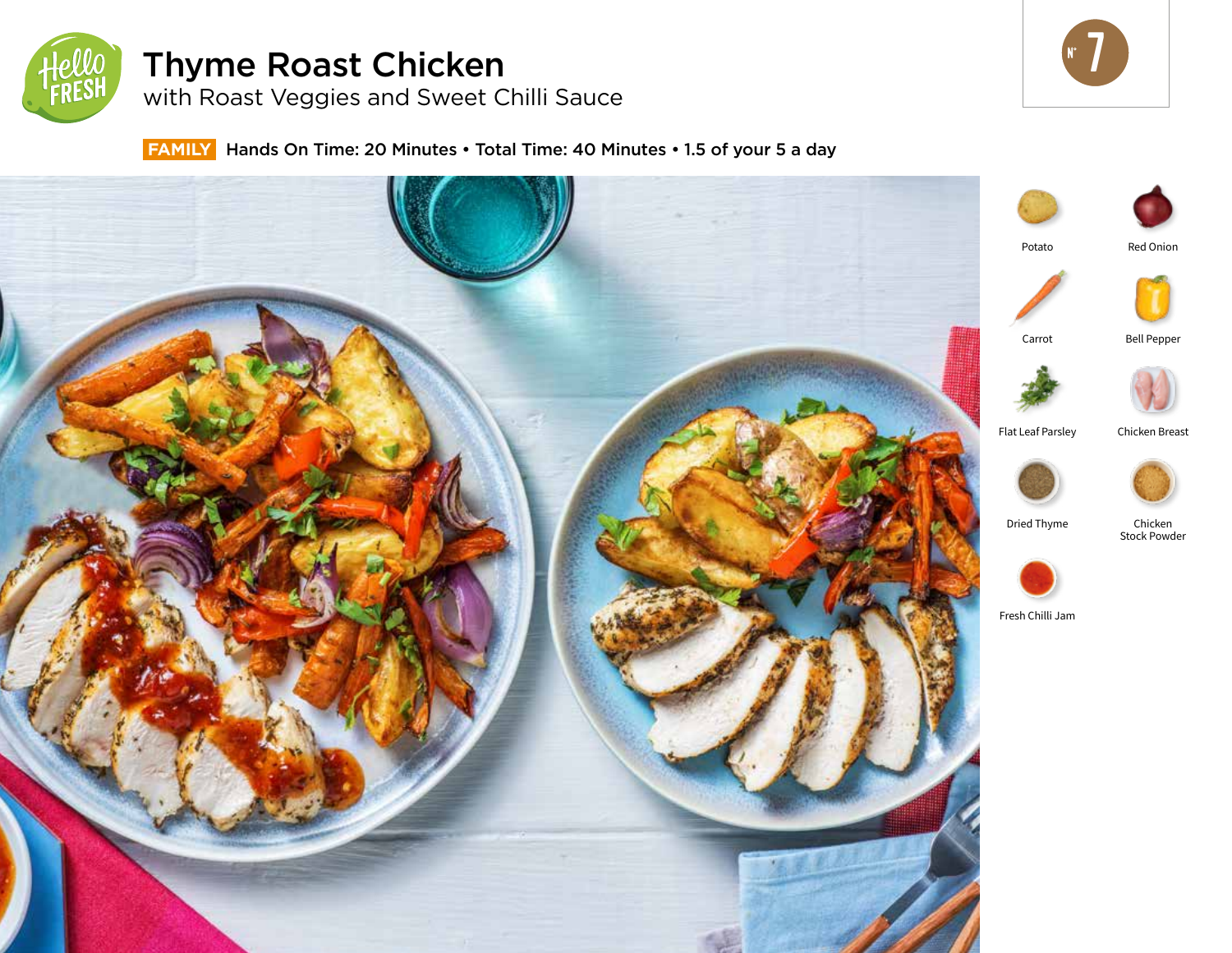

# Thyme Roast Chicken

with Roast Veggies and Sweet Chilli Sauce



 **FAMILY** Hands On Time: 20 Minutes • Total Time: 40 Minutes • 1.5 of your 5 a day